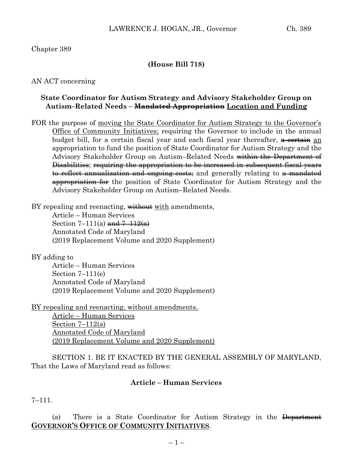Chapter 389

#### **(House Bill 718)**

AN ACT concerning

#### **State Coordinator for Autism Strategy and Advisory Stakeholder Group on Autism–Related Needs – Mandated Appropriation Location and Funding**

FOR the purpose of moving the State Coordinator for Autism Strategy to the Governor's Office of Community Initiatives; requiring the Governor to include in the annual budget bill, for a certain fiscal year and each fiscal year thereafter, <del>a certain</del> an appropriation to fund the position of State Coordinator for Autism Strategy and the Advisory Stakeholder Group on Autism–Related Needs within the Department of Disabilities; requiring the appropriation to be increased in subsequent fiscal years to reflect annualization and ongoing costs; and generally relating to a mandated appropriation for the position of State Coordinator for Autism Strategy and the Advisory Stakeholder Group on Autism–Related Needs.

BY repealing and reenacting, without with amendments,

Article – Human Services Section 7–111(a)  $\frac{\text{and } 7-112(a)}{a}$ Annotated Code of Maryland (2019 Replacement Volume and 2020 Supplement)

BY adding to

Article – Human Services Section  $7-111(e)$ Annotated Code of Maryland (2019 Replacement Volume and 2020 Supplement)

BY repealing and reenacting, without amendments,

Article – Human Services Section  $7-112(a)$ Annotated Code of Maryland (2019 Replacement Volume and 2020 Supplement)

SECTION 1. BE IT ENACTED BY THE GENERAL ASSEMBLY OF MARYLAND, That the Laws of Maryland read as follows:

## **Article – Human Services**

 $7 - 111$ .

(a) There is a State Coordinator for Autism Strategy in the Department **GOVERNOR'S OFFICE OF COMMUNITY INITIATIVES**.